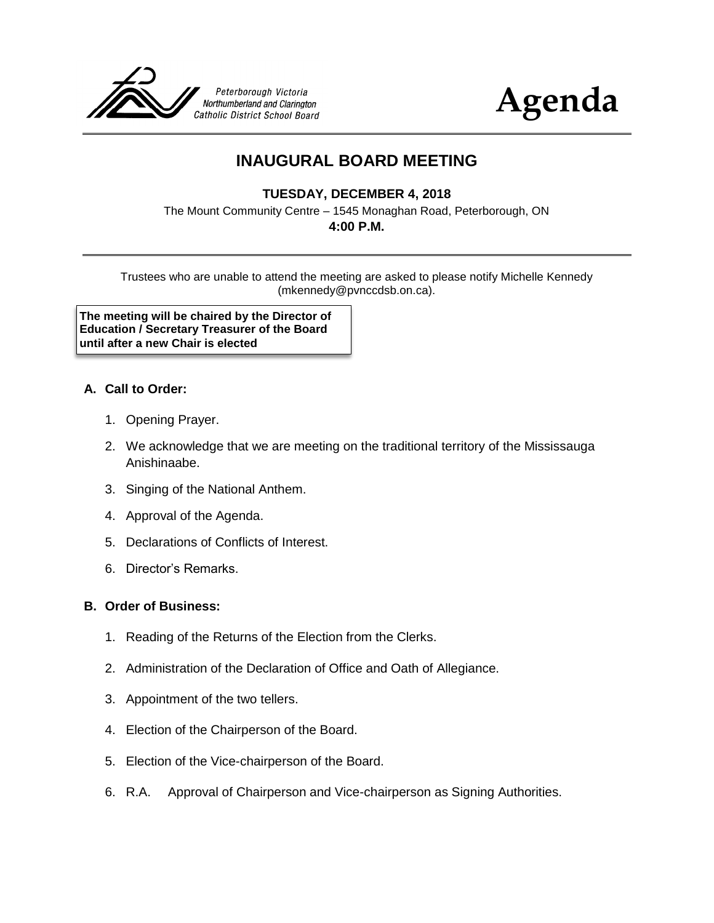



# **INAUGURAL BOARD MEETING**

## **TUESDAY, DECEMBER 4, 2018**

The Mount Community Centre – 1545 Monaghan Road, Peterborough, ON

#### **4:00 P.M.**

Trustees who are unable to attend the meeting are asked to please notify Michelle Kennedy (mkennedy@pvnccdsb.on.ca).

**The meeting will be chaired by the Director of Education / Secretary Treasurer of the Board until after a new Chair is elected**

#### **A. Call to Order:**

- 1. Opening Prayer.
- 2. We acknowledge that we are meeting on the traditional territory of the Mississauga Anishinaabe.
- 3. Singing of the National Anthem.
- 4. Approval of the Agenda.
- 5. Declarations of Conflicts of Interest.
- 6. Director's Remarks.

#### **B. Order of Business:**

- 1. Reading of the Returns of the Election from the Clerks.
- 2. Administration of the Declaration of Office and Oath of Allegiance.
- 3. Appointment of the two tellers.
- 4. Election of the Chairperson of the Board.
- 5. Election of the Vice-chairperson of the Board.
- 6. R.A. Approval of Chairperson and Vice-chairperson as Signing Authorities.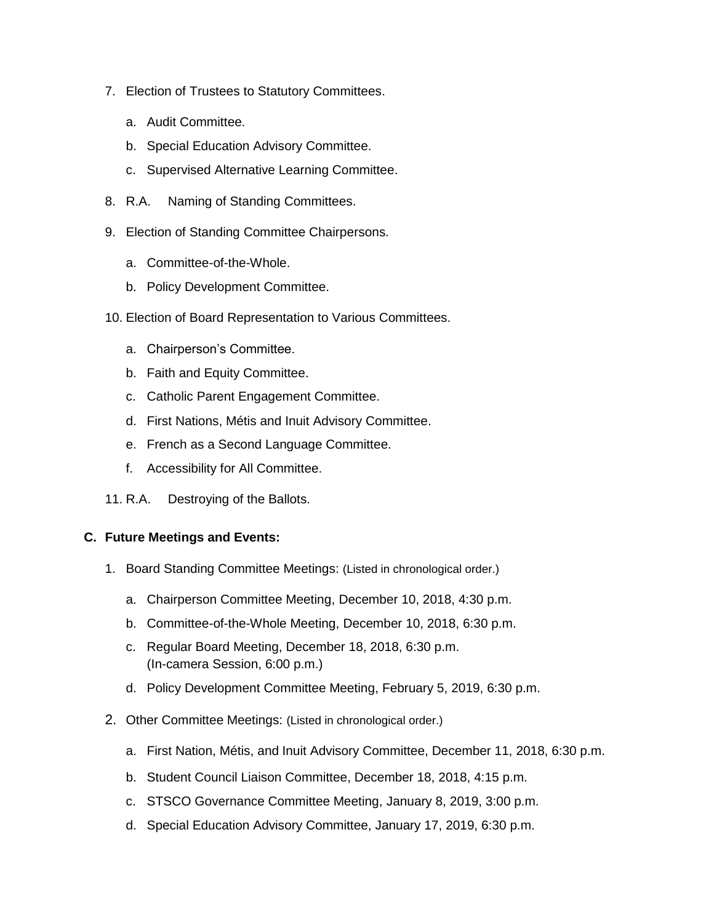- 7. Election of Trustees to Statutory Committees.
	- a. Audit Committee.
	- b. Special Education Advisory Committee.
	- c. Supervised Alternative Learning Committee.
- 8. R.A. Naming of Standing Committees.
- 9. Election of Standing Committee Chairpersons.
	- a. Committee-of-the-Whole.
	- b. Policy Development Committee.
- 10. Election of Board Representation to Various Committees.
	- a. Chairperson's Committee.
	- b. Faith and Equity Committee.
	- c. Catholic Parent Engagement Committee.
	- d. First Nations, Métis and Inuit Advisory Committee.
	- e. French as a Second Language Committee.
	- f. Accessibility for All Committee.
- 11. R.A. Destroying of the Ballots.

#### **C. Future Meetings and Events:**

- 1. Board Standing Committee Meetings: (Listed in chronological order.)
	- a. Chairperson Committee Meeting, December 10, 2018, 4:30 p.m.
	- b. Committee-of-the-Whole Meeting, December 10, 2018, 6:30 p.m.
	- c. Regular Board Meeting, December 18, 2018, 6:30 p.m. (In-camera Session, 6:00 p.m.)
	- d. Policy Development Committee Meeting, February 5, 2019, 6:30 p.m.
- 2. Other Committee Meetings: (Listed in chronological order.)
	- a. First Nation, Métis, and Inuit Advisory Committee, December 11, 2018, 6:30 p.m.
	- b. Student Council Liaison Committee, December 18, 2018, 4:15 p.m.
	- c. STSCO Governance Committee Meeting, January 8, 2019, 3:00 p.m.
	- d. Special Education Advisory Committee, January 17, 2019, 6:30 p.m.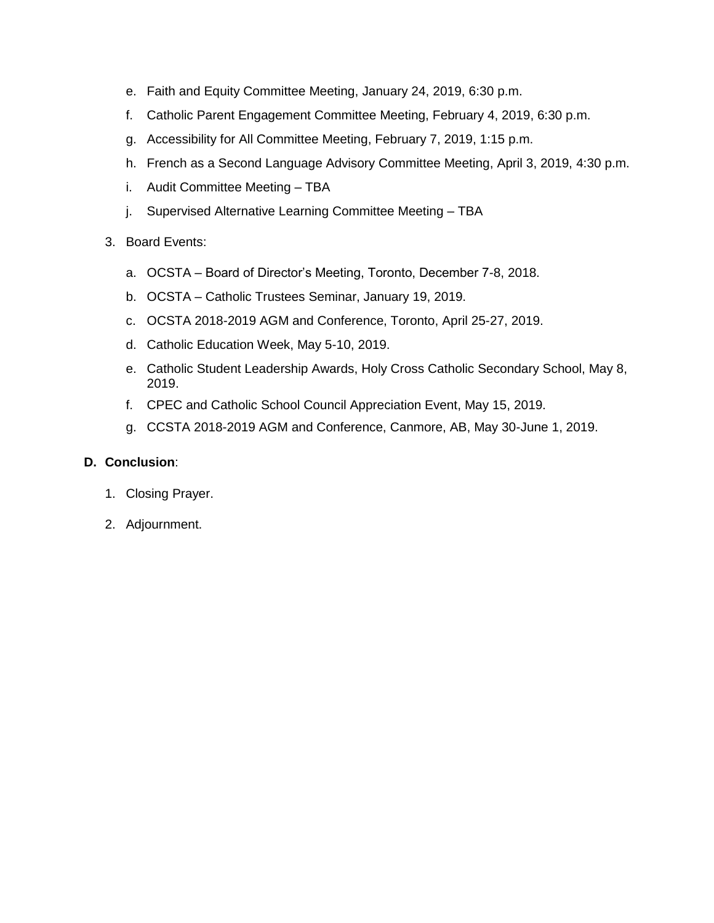- e. Faith and Equity Committee Meeting, January 24, 2019, 6:30 p.m.
- f. Catholic Parent Engagement Committee Meeting, February 4, 2019, 6:30 p.m.
- g. Accessibility for All Committee Meeting, February 7, 2019, 1:15 p.m.
- h. French as a Second Language Advisory Committee Meeting, April 3, 2019, 4:30 p.m.
- i. Audit Committee Meeting TBA
- j. Supervised Alternative Learning Committee Meeting TBA
- 3. Board Events:
	- a. OCSTA Board of Director's Meeting, Toronto, December 7-8, 2018.
	- b. OCSTA Catholic Trustees Seminar, January 19, 2019.
	- c. OCSTA 2018-2019 AGM and Conference, Toronto, April 25-27, 2019.
	- d. Catholic Education Week, May 5-10, 2019.
	- e. Catholic Student Leadership Awards, Holy Cross Catholic Secondary School, May 8, 2019.
	- f. CPEC and Catholic School Council Appreciation Event, May 15, 2019.
	- g. CCSTA 2018-2019 AGM and Conference, Canmore, AB, May 30-June 1, 2019.

## **D. Conclusion**:

- 1. Closing Prayer.
- 2. Adjournment.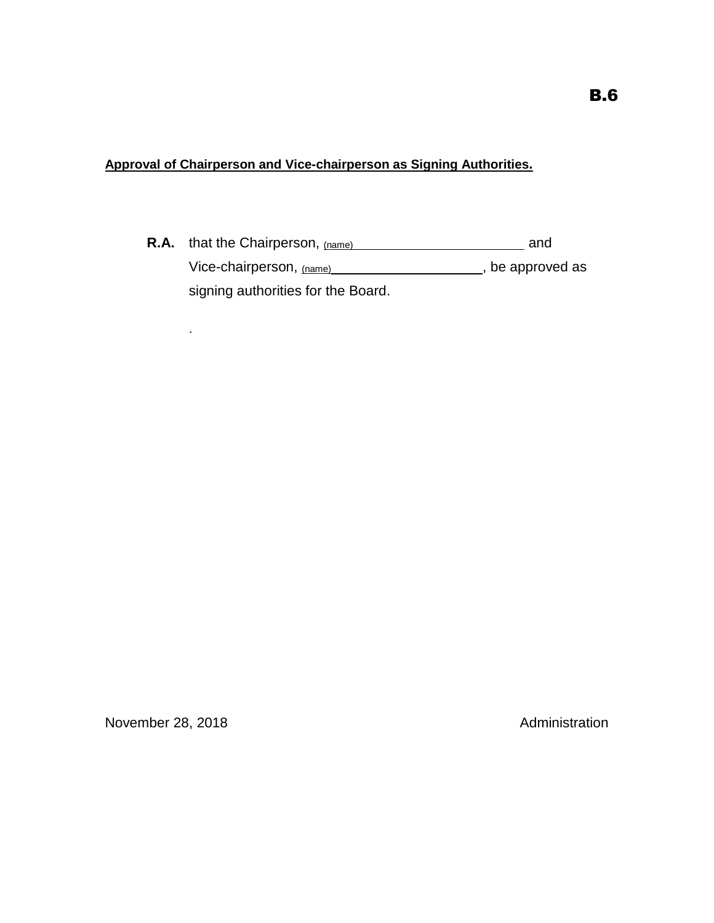**Approval of Chairperson and Vice-chairperson as Signing Authorities.**

**R.A.** that the Chairperson, (name) **R.A. and** and Vice-chairperson, (name) (a) and the state of the approved as  $\frac{1}{2}$ signing authorities for the Board.

.